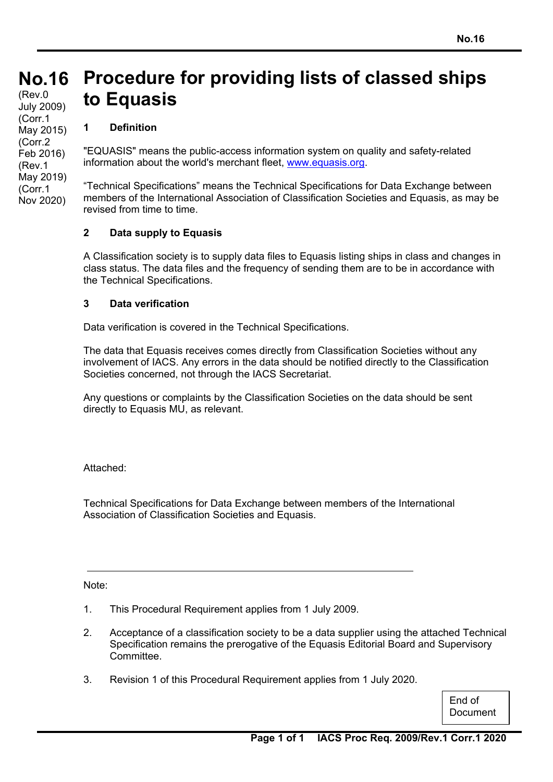#### **No.16 No.16** (Rev.0 July 2009) **Procedure for providing lists of classed ships to Equasis**

# **1 Definition**

(Corr.1 May 2015) (Corr.2 Feb 2016) (Rev.1 May 2019) (Corr.1 Nov 2020)

"EQUASIS" means the public-access information system on quality and safety-related information about the world's merchant fleet, www.equasis.org.

"Technical Specifications" means the Technical Specifications for Data Exchange between members of the International Association of Classification Societies and Equasis, as may be revised from time to time.

## **2 Data supply to Equasis**

A Classification society is to supply data files to Equasis listing ships in class and changes in class status. The data files and the frequency of sending them are to be in accordance with the Technical Specifications.

## **3 Data verification**

Data verification is covered in the Technical Specifications.

The data that Equasis receives comes directly from Classification Societies without any involvement of IACS. Any errors in the data should be notified directly to the Classification Societies concerned, not through the IACS Secretariat.

Any questions or complaints by the Classification Societies on the data should be sent directly to Equasis MU, as relevant.

Attached:

Technical Specifications for Data Exchange between members of the International Association of Classification Societies and Equasis.

Note:

- 1. This Procedural Requirement applies from 1 July 2009.
- 2. Acceptance of a classification society to be a data supplier using the attached Technical Specification remains the prerogative of the Equasis Editorial Board and Supervisory Committee.
- 3. Revision 1 of this Procedural Requirement applies from 1 July 2020.

End of **Document**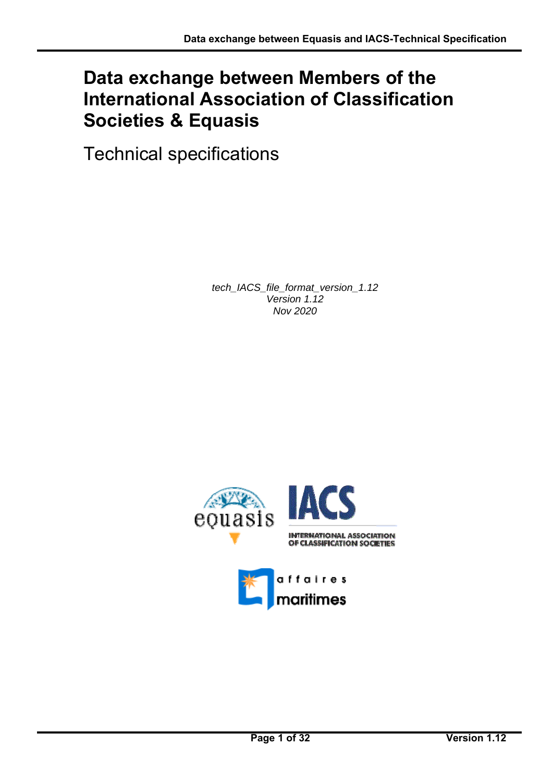# **Data exchange between Members of the International Association of Classification Societies & Equasis**

Technical specifications

*tech\_IACS\_file\_format\_version\_1.12 Version 1.12 Nov 2020* 



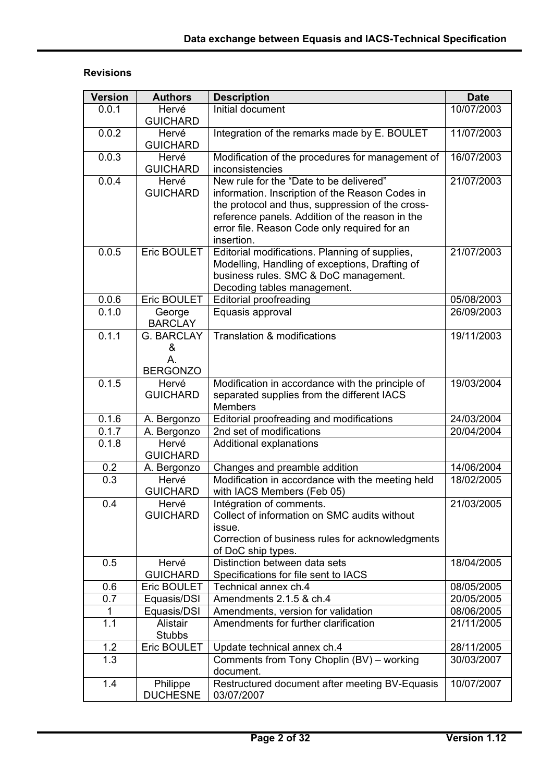# **Revisions**

| <b>Version</b> | <b>Authors</b>                                  | <b>Description</b>                                                                                                                                                                                                                                              | <b>Date</b> |
|----------------|-------------------------------------------------|-----------------------------------------------------------------------------------------------------------------------------------------------------------------------------------------------------------------------------------------------------------------|-------------|
| 0.0.1          | Hervé<br><b>GUICHARD</b>                        | Initial document                                                                                                                                                                                                                                                | 10/07/2003  |
| 0.0.2          | Hervé<br><b>GUICHARD</b>                        | Integration of the remarks made by E. BOULET                                                                                                                                                                                                                    | 11/07/2003  |
| 0.0.3          | Hervé<br><b>GUICHARD</b>                        | Modification of the procedures for management of<br>inconsistencies                                                                                                                                                                                             | 16/07/2003  |
| 0.0.4          | Hervé<br><b>GUICHARD</b>                        | New rule for the "Date to be delivered"<br>information. Inscription of the Reason Codes in<br>the protocol and thus, suppression of the cross-<br>reference panels. Addition of the reason in the<br>error file. Reason Code only required for an<br>insertion. | 21/07/2003  |
| 0.0.5          | Eric BOULET                                     | Editorial modifications. Planning of supplies,<br>Modelling, Handling of exceptions, Drafting of<br>business rules. SMC & DoC management.<br>Decoding tables management.                                                                                        | 21/07/2003  |
| 0.0.6          | Eric BOULET                                     | <b>Editorial proofreading</b>                                                                                                                                                                                                                                   | 05/08/2003  |
| 0.1.0          | George<br><b>BARCLAY</b>                        | Equasis approval                                                                                                                                                                                                                                                | 26/09/2003  |
| 0.1.1          | <b>G. BARCLAY</b><br>&<br>A.<br><b>BERGONZO</b> | <b>Translation &amp; modifications</b>                                                                                                                                                                                                                          | 19/11/2003  |
| 0.1.5          | Hervé<br><b>GUICHARD</b>                        | Modification in accordance with the principle of<br>separated supplies from the different IACS<br><b>Members</b>                                                                                                                                                | 19/03/2004  |
| 0.1.6          | A. Bergonzo                                     | Editorial proofreading and modifications                                                                                                                                                                                                                        | 24/03/2004  |
| 0.1.7          | A. Bergonzo                                     | 2nd set of modifications                                                                                                                                                                                                                                        | 20/04/2004  |
| 0.1.8          | Hervé<br><b>GUICHARD</b>                        | Additional explanations                                                                                                                                                                                                                                         |             |
| 0.2            | A. Bergonzo                                     | Changes and preamble addition                                                                                                                                                                                                                                   | 14/06/2004  |
| 0.3            | Hervé<br><b>GUICHARD</b>                        | Modification in accordance with the meeting held<br>with IACS Members (Feb 05)                                                                                                                                                                                  | 18/02/2005  |
| 0.4            | Hervé<br><b>GUICHARD</b>                        | Intégration of comments.<br>Collect of information on SMC audits without<br>issue.<br>Correction of business rules for acknowledgments<br>of DoC ship types.                                                                                                    | 21/03/2005  |
| 0.5            | Hervé<br><b>GUICHARD</b>                        | Distinction between data sets<br>Specifications for file sent to IACS                                                                                                                                                                                           | 18/04/2005  |
| 0.6            | Eric BOULET                                     | Technical annex ch.4                                                                                                                                                                                                                                            | 08/05/2005  |
| 0.7            | Equasis/DSI                                     | Amendments 2.1.5 & ch.4                                                                                                                                                                                                                                         | 20/05/2005  |
| 1              | Equasis/DSI                                     | Amendments, version for validation                                                                                                                                                                                                                              | 08/06/2005  |
| 1.1            | Alistair<br><b>Stubbs</b>                       | Amendments for further clarification                                                                                                                                                                                                                            | 21/11/2005  |
| 1.2            | Eric BOULET                                     | Update technical annex ch.4                                                                                                                                                                                                                                     | 28/11/2005  |
| 1.3            |                                                 | Comments from Tony Choplin (BV) - working<br>document.                                                                                                                                                                                                          | 30/03/2007  |
| 1.4            | Philippe<br><b>DUCHESNE</b>                     | Restructured document after meeting BV-Equasis<br>03/07/2007                                                                                                                                                                                                    | 10/07/2007  |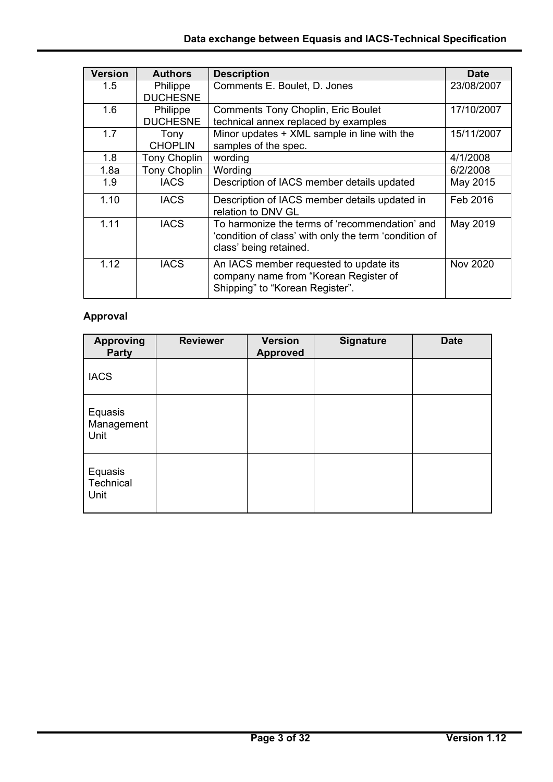| <b>Version</b> | <b>Authors</b>              | <b>Description</b>                                                                                                                | <b>Date</b>     |
|----------------|-----------------------------|-----------------------------------------------------------------------------------------------------------------------------------|-----------------|
| 1.5            | Philippe<br><b>DUCHESNE</b> | Comments E. Boulet, D. Jones                                                                                                      | 23/08/2007      |
| 1.6            | Philippe<br><b>DUCHESNE</b> | <b>Comments Tony Choplin, Eric Boulet</b><br>technical annex replaced by examples                                                 | 17/10/2007      |
| 1.7            | Tony<br><b>CHOPLIN</b>      | Minor updates + XML sample in line with the<br>samples of the spec.                                                               | 15/11/2007      |
| 1.8            | <b>Tony Choplin</b>         | wording                                                                                                                           | 4/1/2008        |
| 1.8a           | <b>Tony Choplin</b>         | Wording                                                                                                                           | 6/2/2008        |
| 1.9            | <b>IACS</b>                 | Description of IACS member details updated                                                                                        | May 2015        |
| 1.10           | <b>IACS</b>                 | Description of IACS member details updated in<br>relation to DNV GL                                                               | Feb 2016        |
| 1.11           | <b>IACS</b>                 | To harmonize the terms of 'recommendation' and<br>'condition of class' with only the term 'condition of<br>class' being retained. | May 2019        |
| 1.12           | <b>IACS</b>                 | An IACS member requested to update its<br>company name from "Korean Register of<br>Shipping" to "Korean Register".                | <b>Nov 2020</b> |

# **Approval**

| <b>Approving</b><br><b>Party</b> | <b>Reviewer</b> | <b>Version</b><br><b>Approved</b> | <b>Signature</b> | <b>Date</b> |
|----------------------------------|-----------------|-----------------------------------|------------------|-------------|
| <b>IACS</b>                      |                 |                                   |                  |             |
| Equasis<br>Management<br>Unit    |                 |                                   |                  |             |
| Equasis<br>Technical<br>Unit     |                 |                                   |                  |             |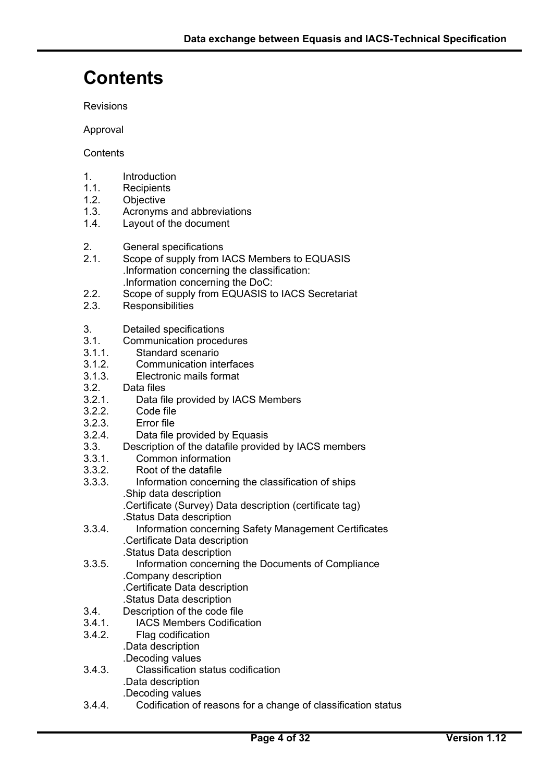# **Contents**

Revisions

Approval

**Contents** 

- 1. Introduction
- 1.1. Recipients
- 1.2. Objective
- 1.3. Acronyms and abbreviations
- 1.4. Layout of the document
- 2. General specifications
- 2.1. Scope of supply from IACS Members to EQUASIS .Information concerning the classification: .Information concerning the DoC:<br>2.2. Scope of supply from EQUASIS to
- Scope of supply from EQUASIS to IACS Secretariat
- 2.3. Responsibilities
- 3. Detailed specifications
- 3.1. Communication procedures
- 3.1.1. Standard scenario
- 3.1.2. Communication interfaces
- 3.1.3. Electronic mails format
- 3.2. Data files
- 3.2.1. Data file provided by IACS Members
- 3.2.2. Code file
- 3.2.3. Error file
- 3.2.4. Data file provided by Equasis
- 3.3. Description of the datafile provided by IACS members
- 3.3.1. Common information
- 3.3.2. Root of the datafile
- 3.3.3. Information concerning the classification of ships .Ship data description
	- .Certificate (Survey) Data description (certificate tag) .Status Data description
- 3.3.4. Information concerning Safety Management Certificates .Certificate Data description
- Status Data description<br>3.3.5. Information concernir Information concerning the Documents of Compliance .Company description .Certificate Data description .Status Data description
- 3.4. Description of the code file
- 3.4.1. IACS Members Codification
- 3.4.2. Flag codification .Data description .Decoding values
- 3.4.3. Classification status codification .Data description
	- .Decoding values

 $\overline{a}$ 

3.4.4. Codification of reasons for a change of classification status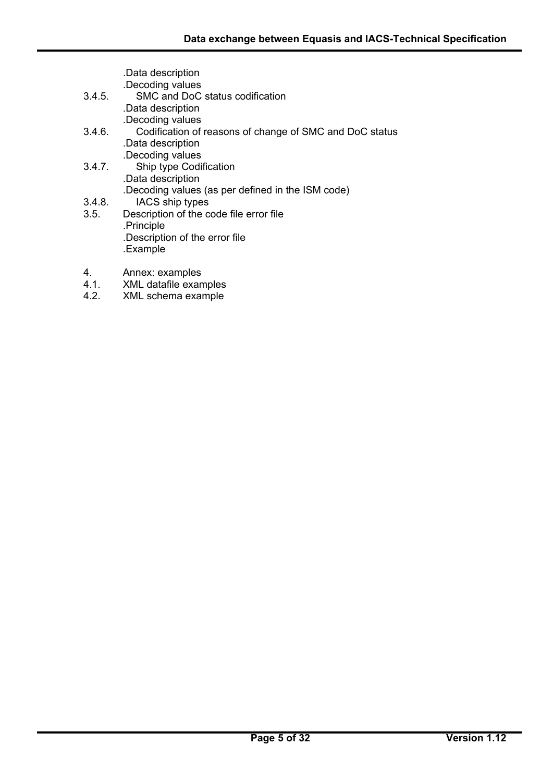|        | .Data description                                       |
|--------|---------------------------------------------------------|
|        | .Decoding values                                        |
| 3.4.5. | SMC and DoC status codification                         |
|        | .Data description                                       |
|        | .Decoding values                                        |
| 3.4.6. | Codification of reasons of change of SMC and DoC status |
|        | .Data description                                       |
|        | .Decoding values                                        |
| 3.4.7. | Ship type Codification                                  |
|        | .Data description                                       |
|        | .Decoding values (as per defined in the ISM code)       |
| 3.4.8. | IACS ship types                                         |
| 3.5.   | Description of the code file error file                 |
|        | .Principle                                              |
|        | .Description of the error file                          |
|        | .Example                                                |
| 4.     | Annex: examples                                         |

- 4.1. XML datafile examples
- 4.2. XML schema example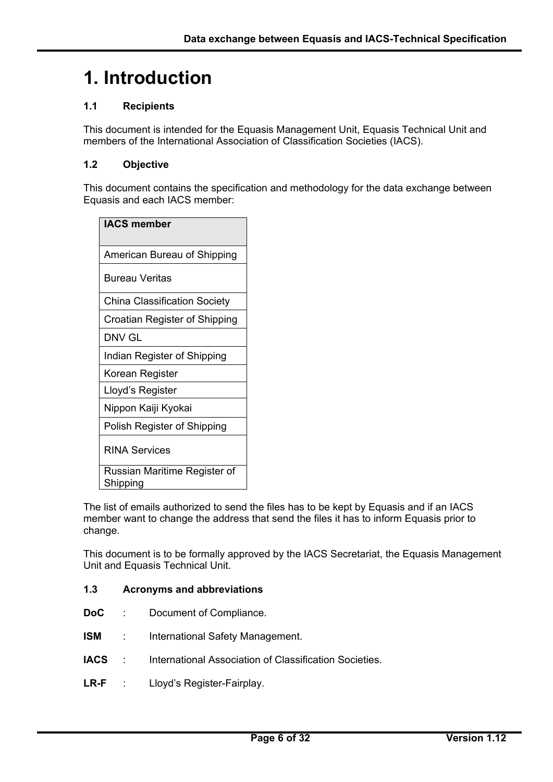# **1. Introduction**

## **1.1 Recipients**

This document is intended for the Equasis Management Unit, Equasis Technical Unit and members of the International Association of Classification Societies (IACS).

## **1.2 Objective**

This document contains the specification and methodology for the data exchange between Equasis and each IACS member:

| <b>IACS member</b>                       |  |  |  |  |  |  |
|------------------------------------------|--|--|--|--|--|--|
| American Bureau of Shipping              |  |  |  |  |  |  |
| Bureau Veritas                           |  |  |  |  |  |  |
| <b>China Classification Society</b>      |  |  |  |  |  |  |
| Croatian Register of Shipping            |  |  |  |  |  |  |
| DNV GL                                   |  |  |  |  |  |  |
| Indian Register of Shipping              |  |  |  |  |  |  |
| Korean Register                          |  |  |  |  |  |  |
| Lloyd's Register                         |  |  |  |  |  |  |
| Nippon Kaiji Kyokai                      |  |  |  |  |  |  |
| Polish Register of Shipping              |  |  |  |  |  |  |
| <b>RINA Services</b>                     |  |  |  |  |  |  |
| Russian Maritime Register of<br>Shipping |  |  |  |  |  |  |

The list of emails authorized to send the files has to be kept by Equasis and if an IACS member want to change the address that send the files it has to inform Equasis prior to change.

This document is to be formally approved by the IACS Secretariat, the Equasis Management Unit and Equasis Technical Unit.

#### **1.3 Acronyms and abbreviations**

- **DoC** : Document of Compliance.
- **ISM** : International Safety Management.
- **IACS** : International Association of Classification Societies.
- **LR-F** : Lloyd's Register-Fairplay.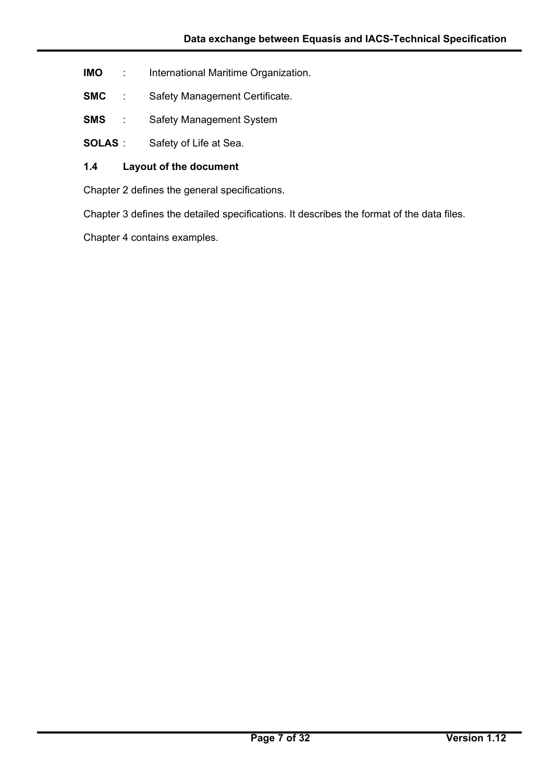- **IMO** : International Maritime Organization.
- **SMC** : Safety Management Certificate.
- **SMS** : Safety Management System
- **SOLAS** : Safety of Life at Sea.

## **1.4 Layout of the document**

Chapter 2 defines the general specifications.

Chapter 3 defines the detailed specifications. It describes the format of the data files.

Chapter 4 contains examples.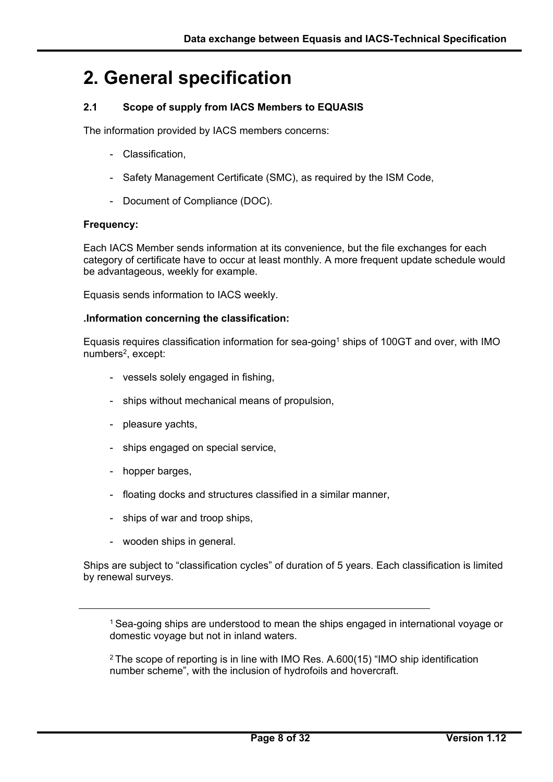# **2. General specification**

## **2.1 Scope of supply from IACS Members to EQUASIS**

The information provided by IACS members concerns:

- Classification.
- Safety Management Certificate (SMC), as required by the ISM Code,
- Document of Compliance (DOC).

#### **Frequency:**

Each IACS Member sends information at its convenience, but the file exchanges for each category of certificate have to occur at least monthly. A more frequent update schedule would be advantageous, weekly for example.

Equasis sends information to IACS weekly.

#### **.Information concerning the classification:**

Equasis requires classification information for sea-going1 ships of 100GT and over, with IMO numbers<sup>2</sup>, except:

- vessels solely engaged in fishing,
- ships without mechanical means of propulsion,
- pleasure vachts.
- ships engaged on special service,
- hopper barges,

 $\overline{a}$ 

- floating docks and structures classified in a similar manner,
- ships of war and troop ships,
- wooden ships in general.

Ships are subject to "classification cycles" of duration of 5 years. Each classification is limited by renewal surveys.

<sup>1</sup> Sea-going ships are understood to mean the ships engaged in international voyage or domestic voyage but not in inland waters.

 $2$  The scope of reporting is in line with IMO Res. A.600(15) "IMO ship identification number scheme", with the inclusion of hydrofoils and hovercraft.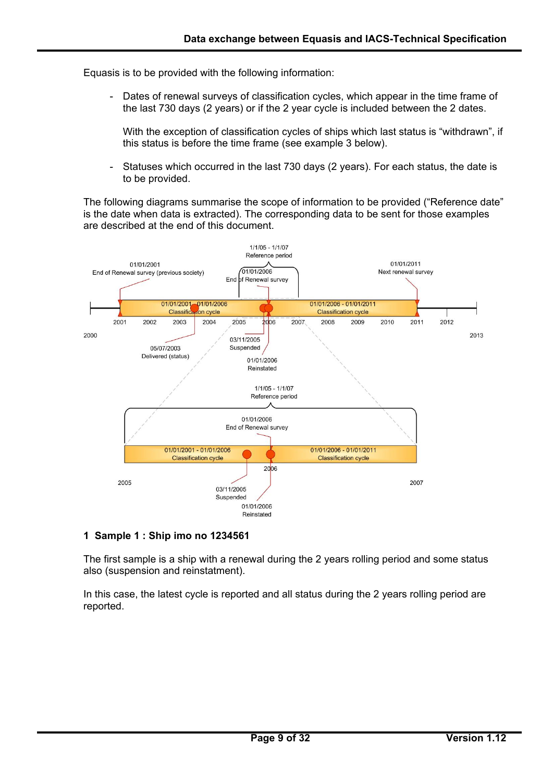Equasis is to be provided with the following information:

Dates of renewal surveys of classification cycles, which appear in the time frame of the last 730 days (2 years) or if the 2 year cycle is included between the 2 dates.

With the exception of classification cycles of ships which last status is "withdrawn", if this status is before the time frame (see example 3 below).

Statuses which occurred in the last 730 days (2 years). For each status, the date is to be provided.

The following diagrams summarise the scope of information to be provided ("Reference date" is the date when data is extracted). The corresponding data to be sent for those examples are described at the end of this document.



#### **1 Sample 1 : Ship imo no 1234561**

 $\overline{a}$ 

The first sample is a ship with a renewal during the 2 years rolling period and some status also (suspension and reinstatment).

In this case, the latest cycle is reported and all status during the 2 years rolling period are reported.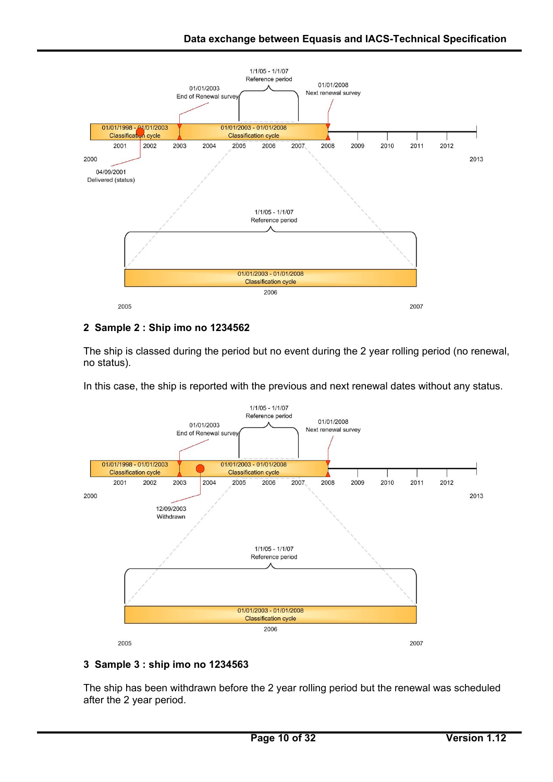

# **2 Sample 2 : Ship imo no 1234562**

The ship is classed during the period but no event during the 2 year rolling period (no renewal, no status).

In this case, the ship is reported with the previous and next renewal dates without any status.



## **3 Sample 3 : ship imo no 1234563**

 $\overline{a}$ 

The ship has been withdrawn before the 2 year rolling period but the renewal was scheduled after the 2 year period.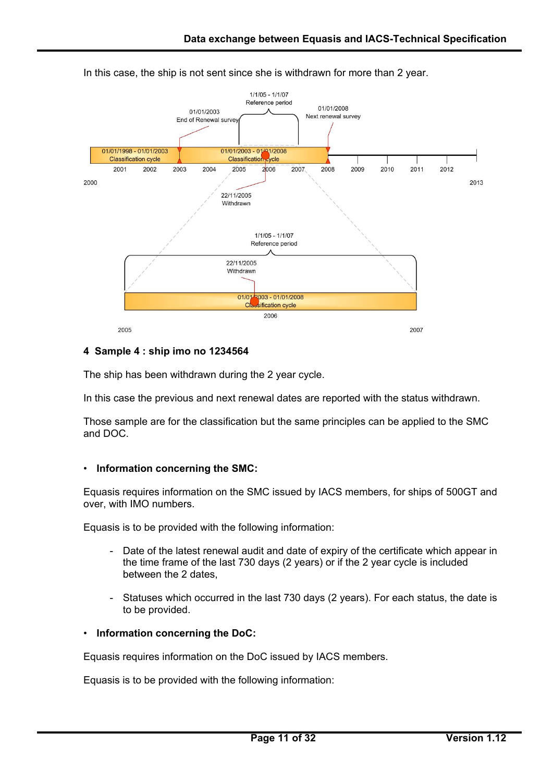

In this case, the ship is not sent since she is withdrawn for more than 2 year.

#### **4 Sample 4 : ship imo no 1234564**

The ship has been withdrawn during the 2 year cycle.

In this case the previous and next renewal dates are reported with the status withdrawn.

Those sample are for the classification but the same principles can be applied to the SMC and DOC.

#### • **Information concerning the SMC:**

Equasis requires information on the SMC issued by IACS members, for ships of 500GT and over, with IMO numbers.

Equasis is to be provided with the following information:

- Date of the latest renewal audit and date of expiry of the certificate which appear in the time frame of the last 730 days (2 years) or if the 2 year cycle is included between the 2 dates,
- Statuses which occurred in the last 730 days (2 years). For each status, the date is to be provided.

#### • **Information concerning the DoC:**

 $\overline{a}$ 

Equasis requires information on the DoC issued by IACS members.

Equasis is to be provided with the following information: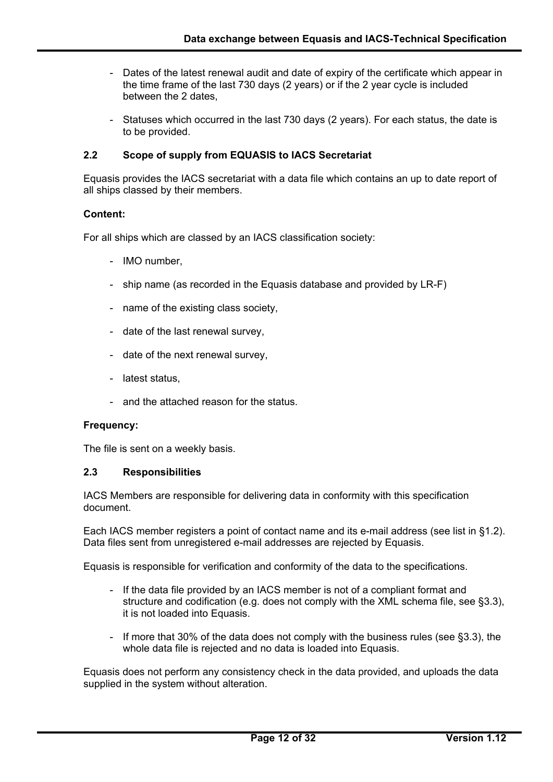- Dates of the latest renewal audit and date of expiry of the certificate which appear in the time frame of the last 730 days (2 years) or if the 2 year cycle is included between the 2 dates,
- Statuses which occurred in the last 730 days (2 years). For each status, the date is to be provided.

### **2.2 Scope of supply from EQUASIS to IACS Secretariat**

Equasis provides the IACS secretariat with a data file which contains an up to date report of all ships classed by their members.

#### **Content:**

For all ships which are classed by an IACS classification society:

- IMO number,
- ship name (as recorded in the Equasis database and provided by LR-F)
- name of the existing class society,
- date of the last renewal survey,
- date of the next renewal survey,
- latest status,
- and the attached reason for the status.

#### **Frequency:**

 $\overline{a}$ 

The file is sent on a weekly basis.

#### **2.3 Responsibilities**

IACS Members are responsible for delivering data in conformity with this specification document.

Each IACS member registers a point of contact name and its e-mail address (see list in §1.2). Data files sent from unregistered e-mail addresses are rejected by Equasis.

Equasis is responsible for verification and conformity of the data to the specifications.

- If the data file provided by an IACS member is not of a compliant format and structure and codification (e.g. does not comply with the XML schema file, see §3.3), it is not loaded into Equasis.
- If more that 30% of the data does not comply with the business rules (see §3.3), the whole data file is rejected and no data is loaded into Equasis.

Equasis does not perform any consistency check in the data provided, and uploads the data supplied in the system without alteration.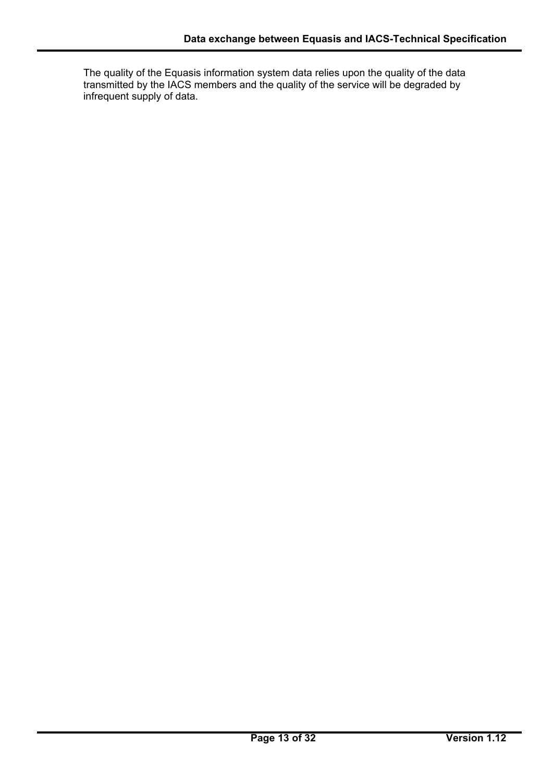The quality of the Equasis information system data relies upon the quality of the data transmitted by the IACS members and the quality of the service will be degraded by infrequent supply of data.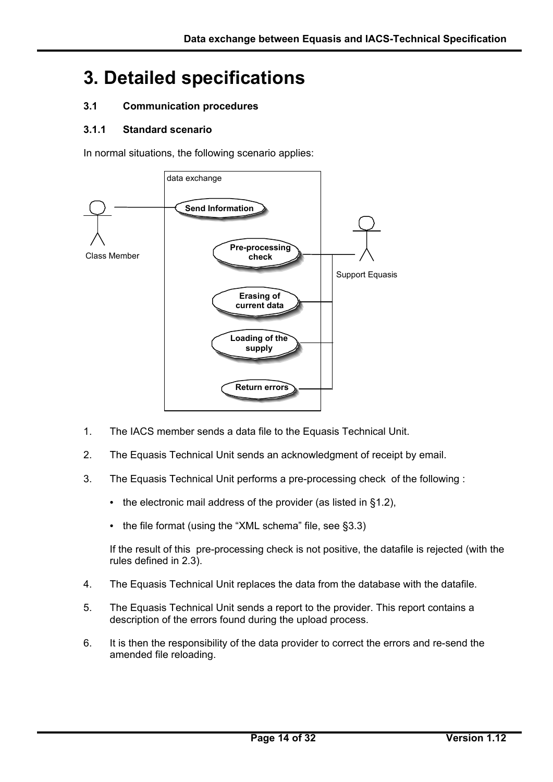# **3. Detailed specifications**

## **3.1 Communication procedures**

## **3.1.1 Standard scenario**

 $\overline{a}$ 

In normal situations, the following scenario applies:



- 1. The IACS member sends a data file to the Equasis Technical Unit.
- 2. The Equasis Technical Unit sends an acknowledgment of receipt by email.
- 3. The Equasis Technical Unit performs a pre-processing check of the following :
	- the electronic mail address of the provider (as listed in §1.2),
	- the file format (using the "XML schema" file, see §3.3)

If the result of this pre-processing check is not positive, the datafile is rejected (with the rules defined in 2.3).

- 4. The Equasis Technical Unit replaces the data from the database with the datafile.
- 5. The Equasis Technical Unit sends a report to the provider. This report contains a description of the errors found during the upload process.
- 6. It is then the responsibility of the data provider to correct the errors and re-send the amended file reloading.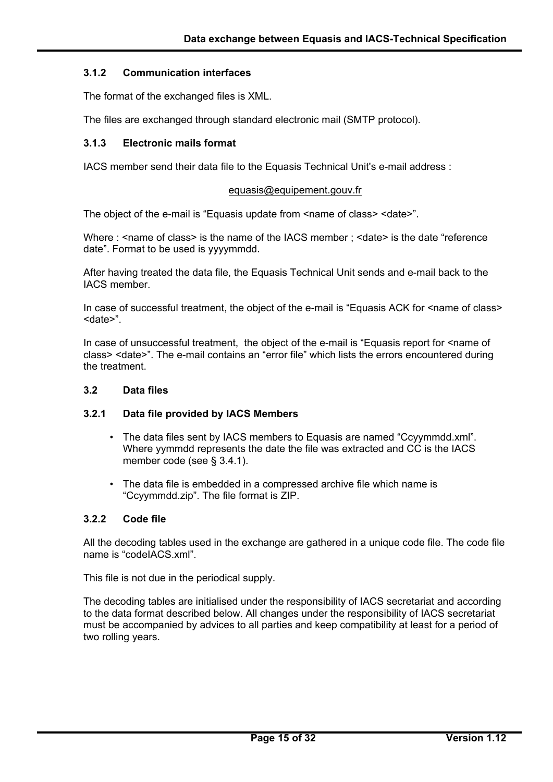### **3.1.2 Communication interfaces**

The format of the exchanged files is XML.

The files are exchanged through standard electronic mail (SMTP protocol).

#### **3.1.3 Electronic mails format**

IACS member send their data file to the Equasis Technical Unit's e-mail address :

#### equasis@equipement.gouv.fr

The object of the e-mail is "Equasis update from  $\alpha$  anne of class >  $\alpha$  < date >".

Where : <name of class> is the name of the IACS member ; <date> is the date "reference" date". Format to be used is yyyymmdd.

After having treated the data file, the Equasis Technical Unit sends and e-mail back to the IACS member.

In case of successful treatment, the object of the e-mail is "Equasis ACK for <name of class> <date>".

In case of unsuccessful treatment, the object of the e-mail is "Equasis report for <name of class> <date>". The e-mail contains an "error file" which lists the errors encountered during the treatment.

#### **3.2 Data files**

## **3.2.1 Data file provided by IACS Members**

- The data files sent by IACS members to Equasis are named "Ccyymmdd.xml". Where yymmdd represents the date the file was extracted and CC is the IACS member code (see § 3.4.1).
- The data file is embedded in a compressed archive file which name is "Ccyymmdd.zip". The file format is ZIP.

#### **3.2.2 Code file**

 $\overline{a}$ 

All the decoding tables used in the exchange are gathered in a unique code file. The code file name is "codeIACS.xml".

This file is not due in the periodical supply.

The decoding tables are initialised under the responsibility of IACS secretariat and according to the data format described below. All changes under the responsibility of IACS secretariat must be accompanied by advices to all parties and keep compatibility at least for a period of two rolling years.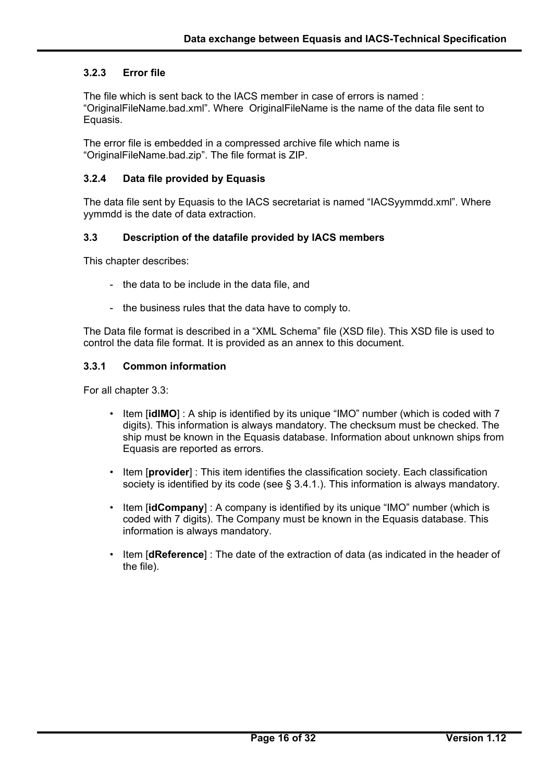## **3.2.3 Error file**

The file which is sent back to the IACS member in case of errors is named : "OriginalFileName.bad.xml". Where OriginalFileName is the name of the data file sent to Equasis.

The error file is embedded in a compressed archive file which name is "OriginalFileName.bad.zip". The file format is ZIP.

#### **3.2.4 Data file provided by Equasis**

The data file sent by Equasis to the IACS secretariat is named "IACSyymmdd.xml". Where yymmdd is the date of data extraction.

#### **3.3 Description of the datafile provided by IACS members**

This chapter describes:

- the data to be include in the data file, and
- the business rules that the data have to comply to.

The Data file format is described in a "XML Schema" file (XSD file). This XSD file is used to control the data file format. It is provided as an annex to this document.

#### **3.3.1 Common information**

For all chapter 3.3:

- Item [**idIMO**] : A ship is identified by its unique "IMO" number (which is coded with 7 digits). This information is always mandatory. The checksum must be checked. The ship must be known in the Equasis database. Information about unknown ships from Equasis are reported as errors.
- Item [**provider**] : This item identifies the classification society. Each classification society is identified by its code (see § 3.4.1.). This information is always mandatory.
- Item [**idCompany**] : A company is identified by its unique "IMO" number (which is coded with 7 digits). The Company must be known in the Equasis database. This information is always mandatory.
- Item [**dReference**] : The date of the extraction of data (as indicated in the header of the file).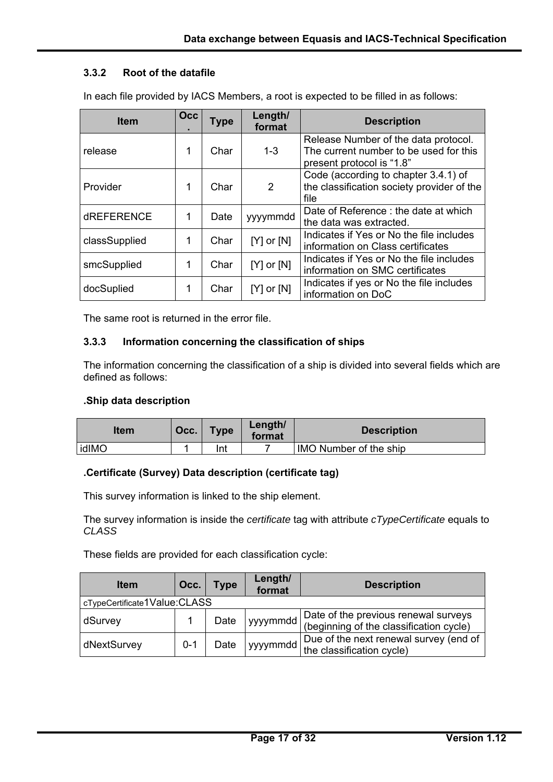## **3.3.2 Root of the datafile**

| <b>Item</b>       | Occ | <b>Type</b> | Length/<br>format | <b>Description</b>                                                                                          |
|-------------------|-----|-------------|-------------------|-------------------------------------------------------------------------------------------------------------|
| release           | 1   | Char        | $1 - 3$           | Release Number of the data protocol.<br>The current number to be used for this<br>present protocol is "1.8" |
| Provider          | 1   | Char        | 2                 | Code (according to chapter 3.4.1) of<br>the classification society provider of the<br>file                  |
| <b>dREFERENCE</b> | 1   | Date        | yyyymmdd          | Date of Reference : the date at which<br>the data was extracted.                                            |
| classSupplied     | 1   | Char        | $[Y]$ or $[N]$    | Indicates if Yes or No the file includes<br>information on Class certificates                               |
| smcSupplied       | 1   | Char        | $[Y]$ or $[N]$    | Indicates if Yes or No the file includes<br>information on SMC certificates                                 |
| docSuplied        | 1   | Char        | $[Y]$ or $[N]$    | Indicates if yes or No the file includes<br>information on DoC                                              |

In each file provided by IACS Members, a root is expected to be filled in as follows:

The same root is returned in the error file.

#### **3.3.3 Information concerning the classification of ships**

The information concerning the classification of a ship is divided into several fields which are defined as follows:

#### **.Ship data description**

 $\overline{a}$ 

| Item  | Occ. | <b>Type</b> | Length/<br>format | <b>Description</b>            |
|-------|------|-------------|-------------------|-------------------------------|
| idIMO |      | Int         |                   | <b>IMO Number of the ship</b> |

## **.Certificate (Survey) Data description (certificate tag)**

This survey information is linked to the ship element.

The survey information is inside the *certificate* tag with attribute *cTypeCertificate* equals to *CLASS* 

These fields are provided for each classification cycle:

| <b>Item</b>                  | Occ.    | <b>Type</b> | Length/<br>format | <b>Description</b>                                                              |  |  |  |
|------------------------------|---------|-------------|-------------------|---------------------------------------------------------------------------------|--|--|--|
| cTypeCertificate1Value:CLASS |         |             |                   |                                                                                 |  |  |  |
| dSurvey                      |         | Date        | yyymmdd           | Date of the previous renewal surveys<br>(beginning of the classification cycle) |  |  |  |
| dNextSurvey                  | $0 - 1$ | Date        | yyyymmdd          | Due of the next renewal survey (end of<br>the classification cycle)             |  |  |  |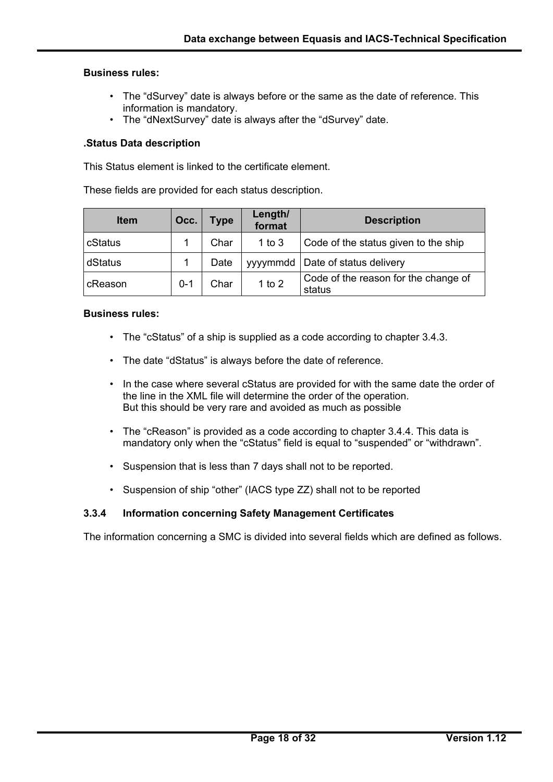#### **Business rules:**

- The "dSurvey" date is always before or the same as the date of reference. This information is mandatory.
- The "dNextSurvey" date is always after the "dSurvey" date.

### **.Status Data description**

This Status element is linked to the certificate element.

These fields are provided for each status description.

| <b>Item</b> | Occ.    | <b>Type</b> | Length/<br>format | <b>Description</b>                             |
|-------------|---------|-------------|-------------------|------------------------------------------------|
| cStatus     |         | Char        | $1$ to $3$        | Code of the status given to the ship           |
| dStatus     |         | Date        |                   | yyyymmdd   Date of status delivery             |
| cReason     | $0 - 1$ | Char        | 1 to $2$          | Code of the reason for the change of<br>status |

### **Business rules:**

 $\overline{a}$ 

- The "cStatus" of a ship is supplied as a code according to chapter 3.4.3.
- The date "dStatus" is always before the date of reference.
- In the case where several cStatus are provided for with the same date the order of the line in the XML file will determine the order of the operation. But this should be very rare and avoided as much as possible
- The "cReason" is provided as a code according to chapter 3.4.4. This data is mandatory only when the "cStatus" field is equal to "suspended" or "withdrawn".
- Suspension that is less than 7 days shall not to be reported.
- Suspension of ship "other" (IACS type ZZ) shall not to be reported

#### **3.3.4 Information concerning Safety Management Certificates**

The information concerning a SMC is divided into several fields which are defined as follows.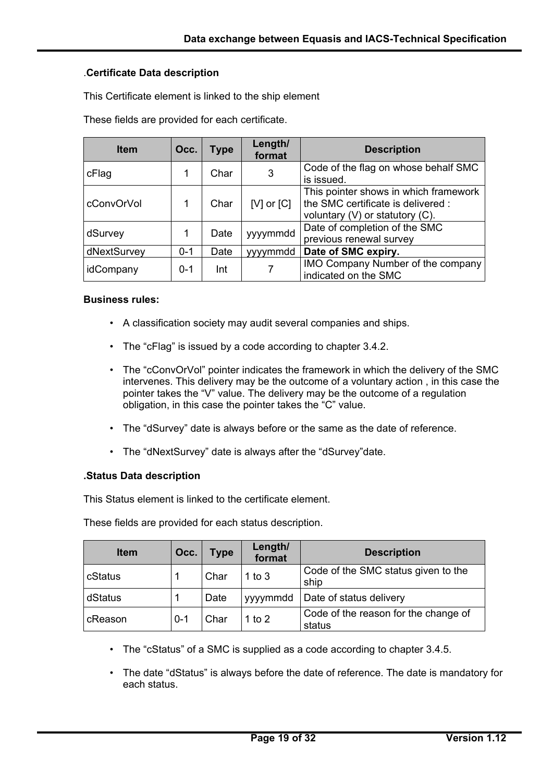### .**Certificate Data description**

This Certificate element is linked to the ship element

These fields are provided for each certificate.

| <b>Item</b> | Occ.    | <b>Type</b> | Length/<br>format | <b>Description</b>                                                                                                  |
|-------------|---------|-------------|-------------------|---------------------------------------------------------------------------------------------------------------------|
| cFlag       |         | Char        | 3                 | Code of the flag on whose behalf SMC<br>is issued.                                                                  |
| cConvOrVol  |         | Char        | [ $V$ ] or $[C]$  | This pointer shows in which framework<br>the SMC certificate is delivered :<br>voluntary $(V)$ or statutory $(C)$ . |
| dSurvey     |         | Date        | yyyymmdd          | Date of completion of the SMC<br>previous renewal survey                                                            |
| dNextSurvey | $0 - 1$ | Date        | yyymmdd           | Date of SMC expiry.                                                                                                 |
| idCompany   | $0 - 1$ | Int         |                   | <b>IMO Company Number of the company</b><br>indicated on the SMC                                                    |

#### **Business rules:**

- A classification society may audit several companies and ships.
- The "cFlag" is issued by a code according to chapter 3.4.2.
- The "cConvOrVol" pointer indicates the framework in which the delivery of the SMC intervenes. This delivery may be the outcome of a voluntary action , in this case the pointer takes the "V" value. The delivery may be the outcome of a regulation obligation, in this case the pointer takes the "C" value.
- The "dSurvey" date is always before or the same as the date of reference.
- The "dNextSurvey" date is always after the "dSurvey"date.

#### **.Status Data description**

 $\overline{a}$ 

This Status element is linked to the certificate element.

These fields are provided for each status description.

| <b>Item</b> | Occ.    | <b>Type</b> | Length/<br>format | <b>Description</b>                             |
|-------------|---------|-------------|-------------------|------------------------------------------------|
| cStatus     |         | Char        | 1 to $3$          | Code of the SMC status given to the<br>ship    |
| dStatus     |         | Date        | yyymmdd           | Date of status delivery                        |
| cReason     | $0 - 1$ | Char        | 1 to $2$          | Code of the reason for the change of<br>status |

- The "cStatus" of a SMC is supplied as a code according to chapter 3.4.5.
- The date "dStatus" is always before the date of reference. The date is mandatory for each status.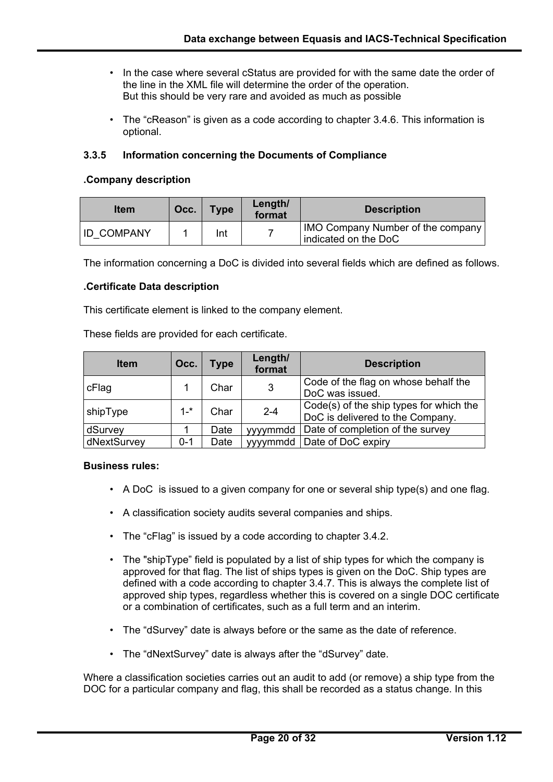- In the case where several cStatus are provided for with the same date the order of the line in the XML file will determine the order of the operation. But this should be very rare and avoided as much as possible
- The "cReason" is given as a code according to chapter 3.4.6. This information is optional.

## **3.3.5 Information concerning the Documents of Compliance**

#### **.Company description**

| <b>Item</b>       | Occ. | <b>Type</b> | Length/<br>format | <b>Description</b>                                        |
|-------------------|------|-------------|-------------------|-----------------------------------------------------------|
| <b>ID COMPANY</b> |      | Int         |                   | IMO Company Number of the company<br>indicated on the DoC |

The information concerning a DoC is divided into several fields which are defined as follows.

#### **.Certificate Data description**

This certificate element is linked to the company element.

These fields are provided for each certificate.

| <b>Item</b> | Occ.    | <b>Type</b> | Length/<br>format | <b>Description</b>                                                          |
|-------------|---------|-------------|-------------------|-----------------------------------------------------------------------------|
| cFlag       |         | Char        | 3                 | Code of the flag on whose behalf the<br>DoC was issued.                     |
| shipType    | $1 -$ * | Char        | $2 - 4$           | Code(s) of the ship types for which the<br>DoC is delivered to the Company. |
| dSurvey     |         | Date        | yyymmdd           | Date of completion of the survey                                            |
| dNextSurvey | $0 - 1$ | Date        |                   | yyyymmdd   Date of DoC expiry                                               |

#### **Business rules:**

 $\overline{a}$ 

- A DoC is issued to a given company for one or several ship type(s) and one flag.
- A classification society audits several companies and ships.
- The "cFlag" is issued by a code according to chapter 3.4.2.
- The "shipType" field is populated by a list of ship types for which the company is approved for that flag. The list of ships types is given on the DoC. Ship types are defined with a code according to chapter 3.4.7. This is always the complete list of approved ship types, regardless whether this is covered on a single DOC certificate or a combination of certificates, such as a full term and an interim.
- The "dSurvey" date is always before or the same as the date of reference.
- The "dNextSurvey" date is always after the "dSurvey" date.

Where a classification societies carries out an audit to add (or remove) a ship type from the DOC for a particular company and flag, this shall be recorded as a status change. In this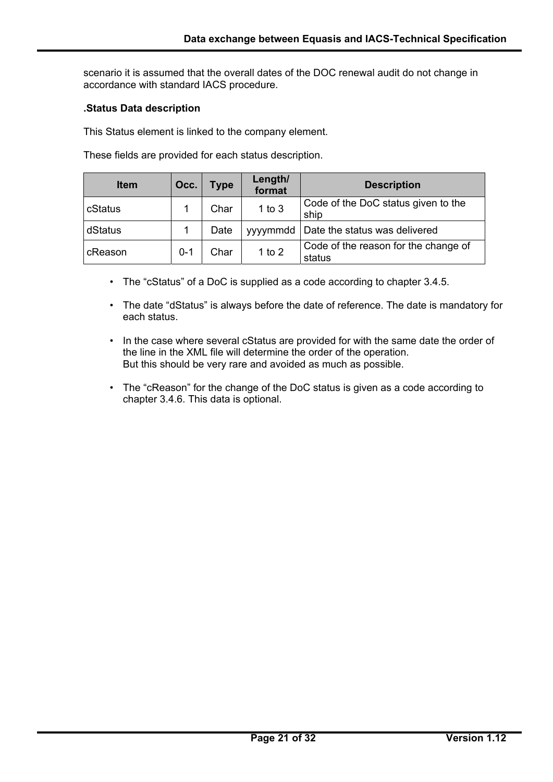scenario it is assumed that the overall dates of the DOC renewal audit do not change in accordance with standard IACS procedure.

## **.Status Data description**

 $\overline{a}$ 

This Status element is linked to the company element.

These fields are provided for each status description.

| <b>Item</b> | Occ.    | <b>Type</b> | Length/<br>format | <b>Description</b>                             |
|-------------|---------|-------------|-------------------|------------------------------------------------|
| cStatus     |         | Char        | $1$ to $3$        | Code of the DoC status given to the<br>ship    |
| dStatus     |         | Date        | yyymmdd           | Date the status was delivered                  |
| cReason     | $0 - 1$ | Char        | 1 to $2$          | Code of the reason for the change of<br>status |

- The "cStatus" of a DoC is supplied as a code according to chapter 3.4.5.
- The date "dStatus" is always before the date of reference. The date is mandatory for each status.
- In the case where several cStatus are provided for with the same date the order of the line in the XML file will determine the order of the operation. But this should be very rare and avoided as much as possible.
- The "cReason" for the change of the DoC status is given as a code according to chapter 3.4.6. This data is optional.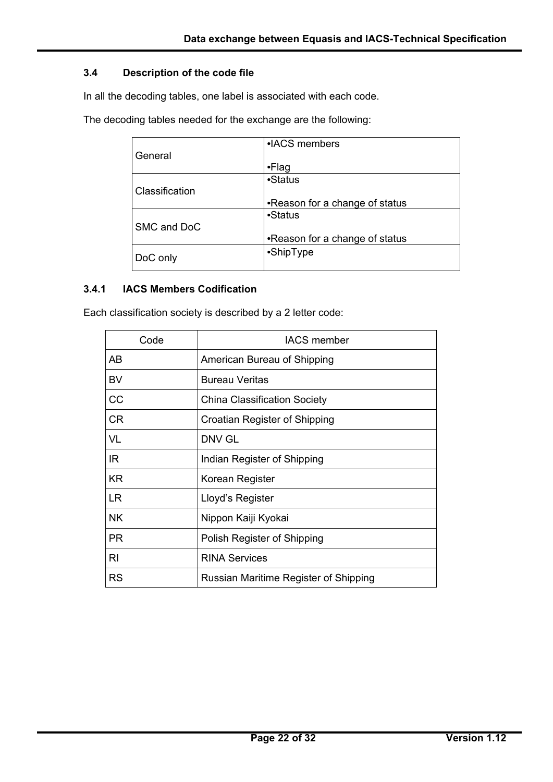## **3.4 Description of the code file**

In all the decoding tables, one label is associated with each code.

The decoding tables needed for the exchange are the following:

|                | • ACS members                  |
|----------------|--------------------------------|
| General        |                                |
|                | $\cdot$ Flag                   |
|                | •Status                        |
| Classification |                                |
|                | •Reason for a change of status |
|                | •Status                        |
| SMC and DoC    |                                |
|                | •Reason for a change of status |
|                | •ShipType                      |
| DoC only       |                                |

#### **3.4.1 IACS Members Codification**

 $\overline{a}$ 

Each classification society is described by a 2 letter code:

| Code           | <b>IACS</b> member                    |
|----------------|---------------------------------------|
| AB             | American Bureau of Shipping           |
| <b>BV</b>      | <b>Bureau Veritas</b>                 |
| CC             | <b>China Classification Society</b>   |
| <b>CR</b>      | Croatian Register of Shipping         |
| VL             | DNV GL                                |
| IR             | Indian Register of Shipping           |
| <b>KR</b>      | Korean Register                       |
| <b>LR</b>      | Lloyd's Register                      |
| <b>NK</b>      | Nippon Kaiji Kyokai                   |
| <b>PR</b>      | Polish Register of Shipping           |
| R <sub>l</sub> | <b>RINA Services</b>                  |
| <b>RS</b>      | Russian Maritime Register of Shipping |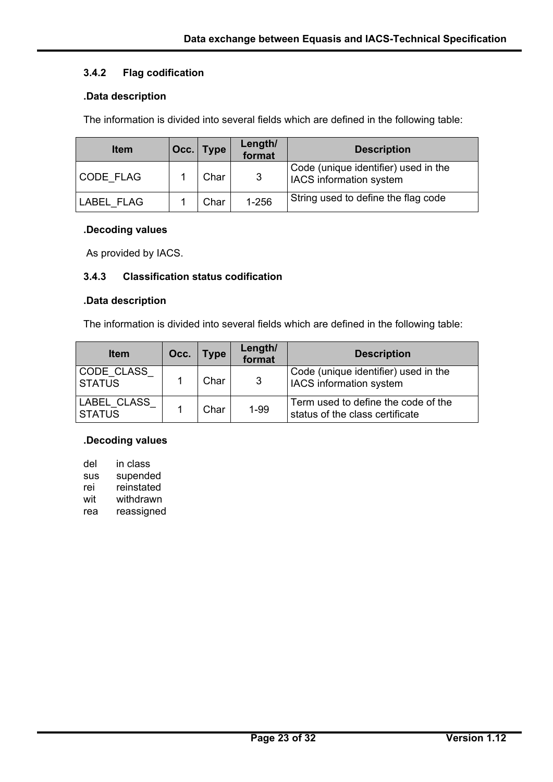# **3.4.2 Flag codification**

### **.Data description**

The information is divided into several fields which are defined in the following table:

| <b>Item</b> | Occ. Type | Length/<br>format | <b>Description</b>                                                     |
|-------------|-----------|-------------------|------------------------------------------------------------------------|
| CODE FLAG   | Char      | 3                 | Code (unique identifier) used in the<br><b>IACS</b> information system |
| LABEL FLAG  | Char      | 1-256             | String used to define the flag code                                    |

#### **.Decoding values**

As provided by IACS.

# **3.4.3 Classification status codification**

#### **.Data description**

The information is divided into several fields which are defined in the following table:

| <b>Item</b>                  | Occ. | <b>Type</b> | Length/<br>format | <b>Description</b>                                                     |
|------------------------------|------|-------------|-------------------|------------------------------------------------------------------------|
| CODE CLASS<br><b>STATUS</b>  |      | Char        | $\mathbf{3}$      | Code (unique identifier) used in the<br><b>IACS</b> information system |
| LABEL CLASS<br><b>STATUS</b> |      | Char        | $1 - 99$          | Term used to define the code of the<br>status of the class certificate |

#### **.Decoding values**

| del        | in class   |
|------------|------------|
| <b>SUS</b> | supended   |
| rei        | reinstated |
| wit        | withdrawn  |
| rea        | reassigned |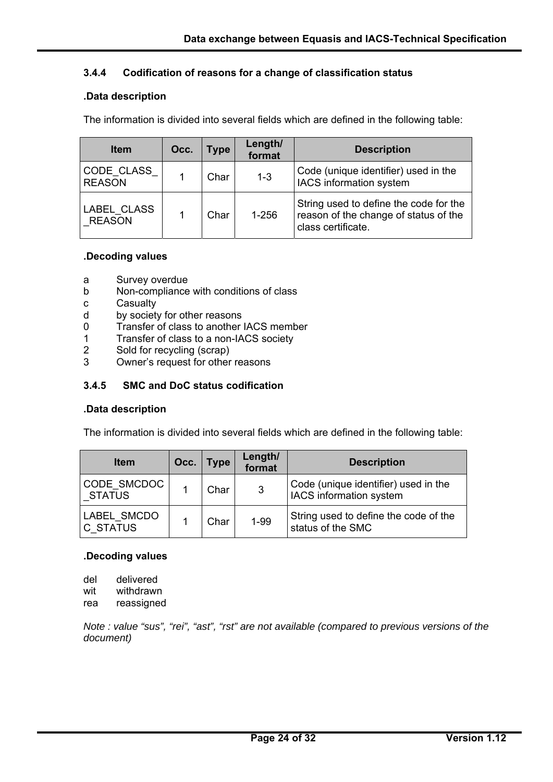## **3.4.4 Codification of reasons for a change of classification status**

#### **.Data description**

The information is divided into several fields which are defined in the following table:

| <b>Item</b>                  | Occ. | <b>Type</b> | Length/<br>format | <b>Description</b>                                                                                    |
|------------------------------|------|-------------|-------------------|-------------------------------------------------------------------------------------------------------|
| CODE CLASS<br><b>REASON</b>  |      | Char        | $1 - 3$           | Code (unique identifier) used in the<br>IACS information system                                       |
| LABEL CLASS<br><b>REASON</b> |      | Char        | $1 - 256$         | String used to define the code for the<br>reason of the change of status of the<br>class certificate. |

#### **.Decoding values**

- a Survey overdue
- b Non-compliance with conditions of class
- c Casualty
- d by society for other reasons
- 0 Transfer of class to another IACS member
- 1 Transfer of class to a non-IACS society
- 2 Sold for recycling (scrap)
- 3 Owner's request for other reasons

## **3.4.5 SMC and DoC status codification**

#### **.Data description**

The information is divided into several fields which are defined in the following table:

| <b>Item</b>                    | Occ. | <b>Type</b> | Length/<br>format | <b>Description</b>                                              |
|--------------------------------|------|-------------|-------------------|-----------------------------------------------------------------|
| CODE SMCDOC<br><b>STATUS</b>   |      | Char        | 3                 | Code (unique identifier) used in the<br>IACS information system |
| LABEL_SMCDO<br><b>C STATUS</b> |      | Char        | $1 - 99$          | String used to define the code of the<br>status of the SMC      |

#### **.Decoding values**

| del | delivered  |
|-----|------------|
| wit | withdrawn  |
| rea | reassigned |

 $\overline{a}$ 

*Note : value "sus", "rei", "ast", "rst" are not available (compared to previous versions of the document)*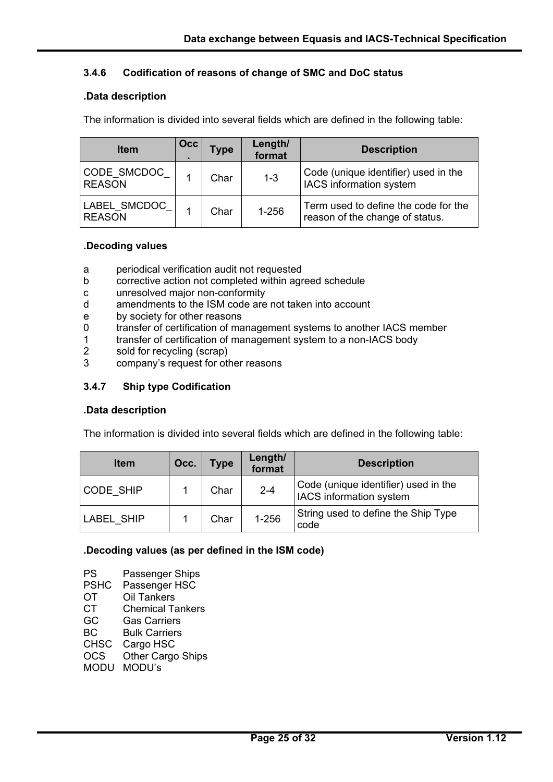## **3.4.6 Codification of reasons of change of SMC and DoC status**

## **.Data description**

The information is divided into several fields which are defined in the following table:

| <b>Item</b>                    | <b>Occ</b> | <b>Type</b> | Length/<br>format | <b>Description</b>                                                      |
|--------------------------------|------------|-------------|-------------------|-------------------------------------------------------------------------|
| CODE SMCDOC<br><b>REASON</b>   |            | Char        | $1 - 3$           | Code (unique identifier) used in the<br>IACS information system         |
| LABEL_SMCDOC_<br><b>REASON</b> |            | Char        | $1 - 256$         | Term used to define the code for the<br>reason of the change of status. |

#### **.Decoding values**

- a periodical verification audit not requested
- b corrective action not completed within agreed schedule
- c unresolved major non-conformity
- d amendments to the ISM code are not taken into account
- e by society for other reasons
- 0 transfer of certification of management systems to another IACS member
- 1 transfer of certification of management system to a non-IACS body
- 2 sold for recycling (scrap)
- 3 company's request for other reasons

## **3.4.7 Ship type Codification**

#### **.Data description**

The information is divided into several fields which are defined in the following table:

| <b>Item</b>       | Occ. | <b>Type</b> | Length/<br>format | <b>Description</b>                                              |
|-------------------|------|-------------|-------------------|-----------------------------------------------------------------|
| CODE SHIP         |      | Char        | $2 - 4$           | Code (unique identifier) used in the<br>IACS information system |
| <b>LABEL SHIP</b> |      | Char        | $1 - 256$         | String used to define the Ship Type<br>code                     |

#### **.Decoding values (as per defined in the ISM code)**

PS Passenger Ships PSHC Passenger HSC OT Oil Tankers CT Chemical Tankers GC Gas Carriers BC Bulk Carriers CHSC Cargo HSC OCS Other Cargo Ships MODU MODU's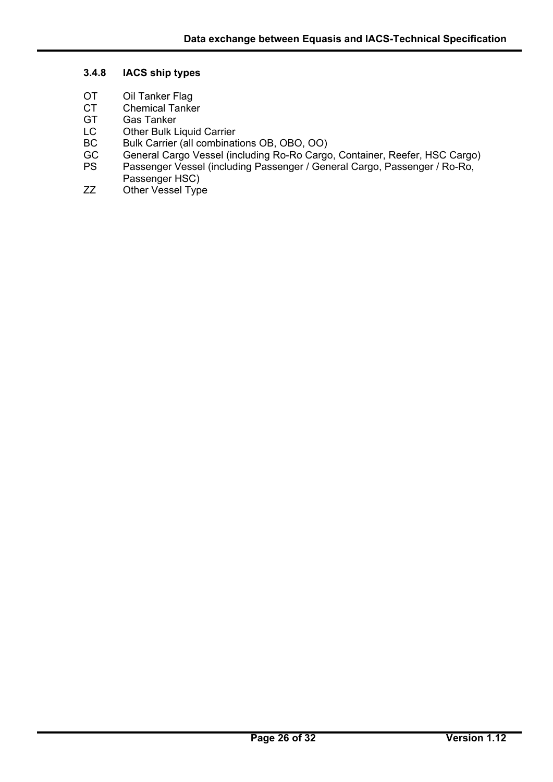## **3.4.8 IACS ship types**

- OT Oil Tanker Flag<br>CT Chemical Tanke
- CT Chemical Tanker<br>GT Gas Tanker
- GT Gas Tanker<br>LC Other Bulk L

- **Other Bulk Liquid Carrier**
- BC Bulk Carrier (all combinations OB, OBO, OO)
- GC General Cargo Vessel (including Ro-Ro Cargo, Container, Reefer, HSC Cargo)
- PS Passenger Vessel (including Passenger / General Cargo, Passenger / Ro-Ro, Passenger HSC)
- ZZ Other Vessel Type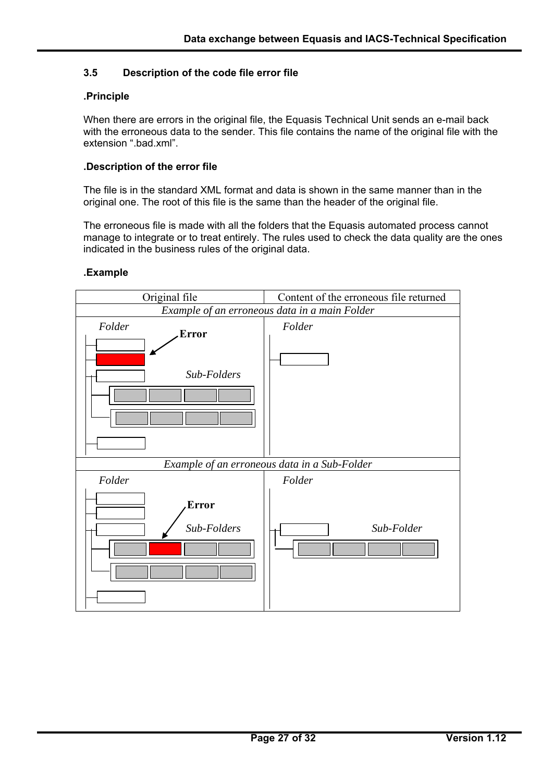## **3.5 Description of the code file error file**

#### **.Principle**

When there are errors in the original file, the Equasis Technical Unit sends an e-mail back with the erroneous data to the sender. This file contains the name of the original file with the extension ".bad.xml".

#### **.Description of the error file**

The file is in the standard XML format and data is shown in the same manner than in the original one. The root of this file is the same than the header of the original file.

The erroneous file is made with all the folders that the Equasis automated process cannot manage to integrate or to treat entirely. The rules used to check the data quality are the ones indicated in the business rules of the original data.

#### **.Example**

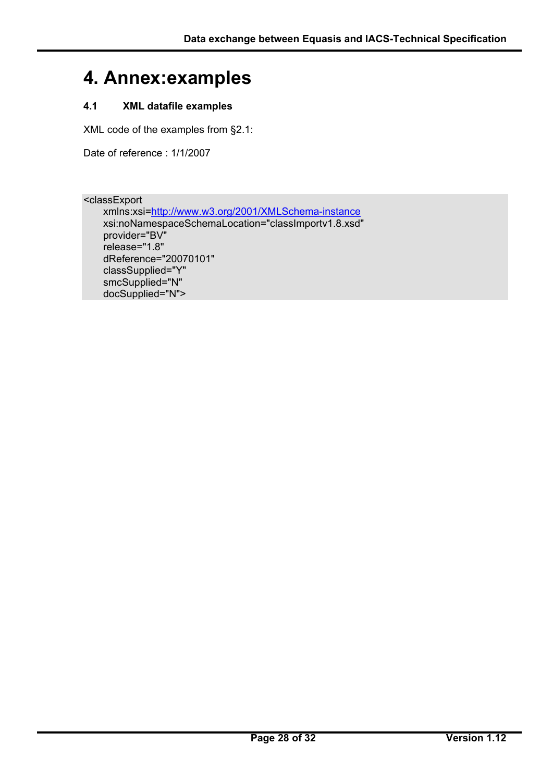# **4. Annex:examples**

# **4.1 XML datafile examples**

XML code of the examples from §2.1:

Date of reference : 1/1/2007

<classExport

 $\overline{a}$ 

 xmlns:xsi=http://www.w3.org/2001/XMLSchema-instance xsi:noNamespaceSchemaLocation="classImportv1.8.xsd" provider="BV" release="1.8" dReference="20070101" classSupplied="Y" smcSupplied="N" docSupplied="N">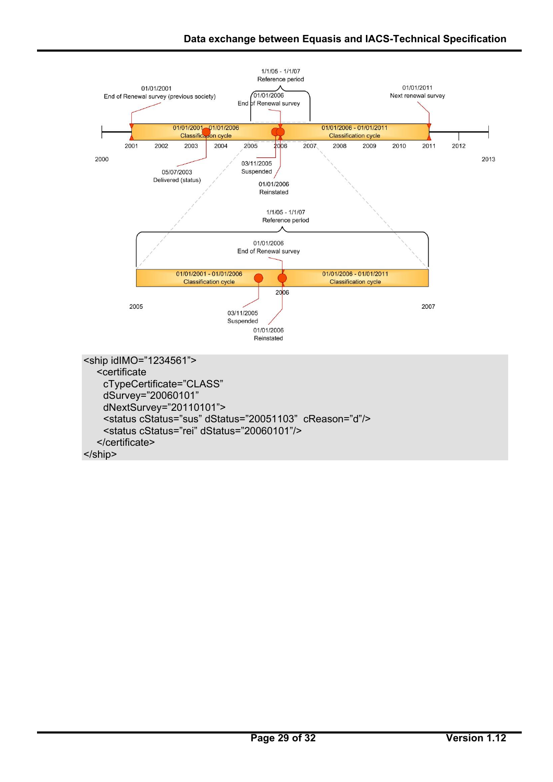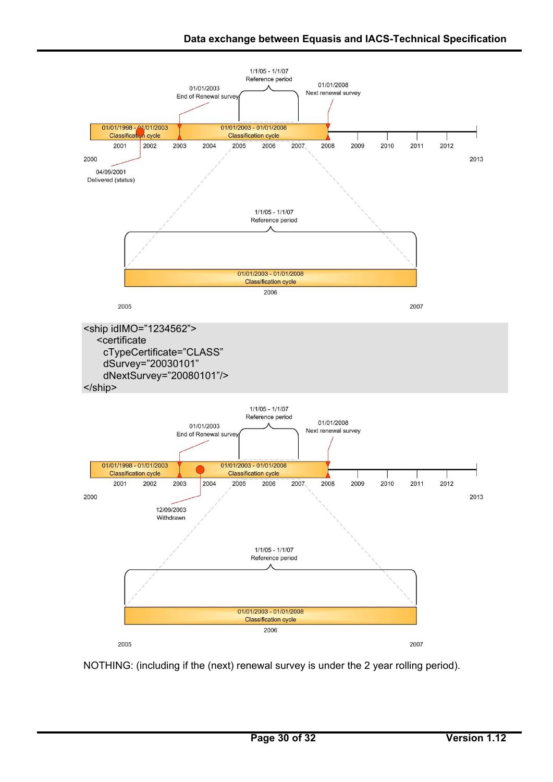

NOTHING: (including if the (next) renewal survey is under the 2 year rolling period).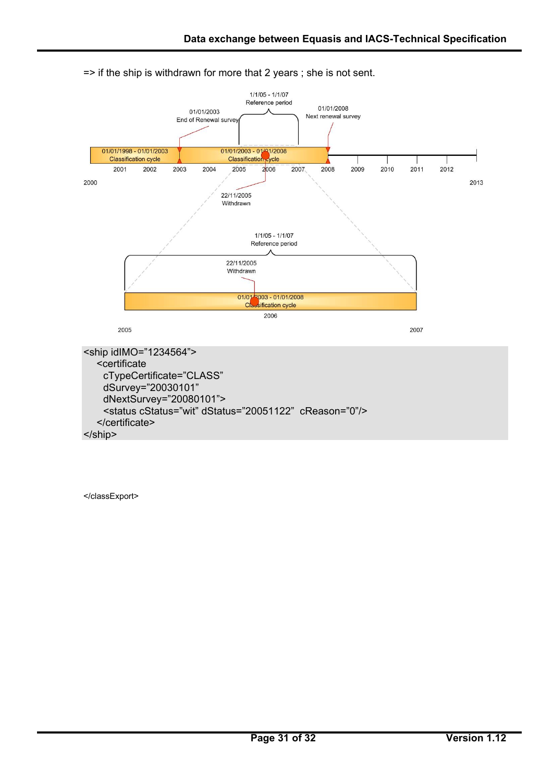

=> if the ship is withdrawn for more that 2 years ; she is not sent.

</classExport>